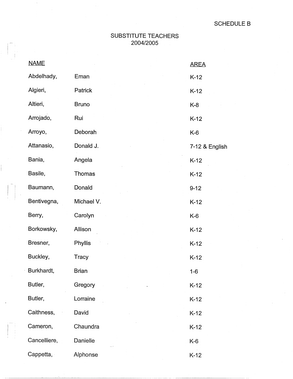## SUBSTITUTE TEACHERS <sup>I</sup>2004/2005

 $\begin{bmatrix} 1 & 1 \\ 1 & 1 \\ 1 & 1 \end{bmatrix}$ 

| <b>NAME</b>  |                | <b>AREA</b>    |
|--------------|----------------|----------------|
| Abdelhady,   | Eman           | $K-12$         |
| Algieri,     | <b>Patrick</b> | $K-12$         |
| Altieri,     | <b>Bruno</b>   | $K-8$          |
| Arrojado,    | Rui            | $K-12$         |
| Arroyo,      | Deborah        | $K-6$          |
| Attanasio,   | Donald J.      | 7-12 & English |
| Bania,       | Angela         | $K-12$         |
| Basile,      | Thomas         | $K-12$         |
| Baumann,     | Donald         | $9 - 12$       |
| Bentivegna,  | Michael V.     | $K-12$         |
| Berry,       | Carolyn        | $K-6$          |
| Borkowsky,   | Allison        | $K-12$         |
| Bresner,     | <b>Phyllis</b> | $K-12$         |
| Buckley,     | <b>Tracy</b>   | $K-12$         |
| Burkhardt,   | <b>Brian</b>   | $1 - 6$        |
| Butler,      | Gregory        | $K-12$         |
| Butler,      | Lorraine       | $K-12$         |
| Caithness,   | David          | $K-12$         |
| Cameron,     | Chaundra       | $K-12$         |
| Cancelliere, | Danielle       | K-6            |
| Cappetta,    | Alphonse       | $K-12$         |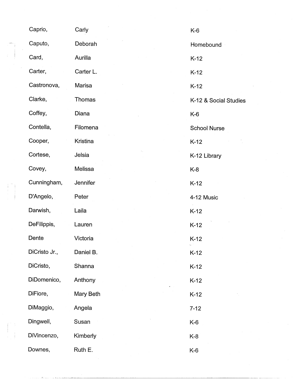| Caprio,       | Carly     | $K-6$                 |
|---------------|-----------|-----------------------|
| Caputo,       | Deborah   | Homebound             |
| Card,         | Aurilla   | $K-12$                |
| Carter,       | Carter L. | $K-12$                |
| Castronova,   | Marisa    | $K-12$                |
| Clarke,       | Thomas    | K-12 & Social Studies |
| Coffey,       | Diana     | K-6                   |
| Contella,     | Filomena  | <b>School Nurse</b>   |
| Cooper,       | Kristina  | $K-12$                |
| Cortese,      | Jelsia    | K-12 Library          |
| Covey,        | Melissa   | K-8                   |
| Cunningham,   | Jennifer  | $K-12$                |
| D'Angelo,     | Peter     | 4-12 Music            |
| Darwish,      | Laila     | $K-12$                |
| DeFilippis,   | Lauren    | $K-12$                |
| Dente         | Victoria  | $K-12$                |
| DiCristo Jr., | Daniel B. | $K-12$                |
| DiCristo,     | Shanna    | $K-12$                |
| DiDomenico,   | Anthony   | $K-12$                |
| DiFiore,      | Mary Beth | $K-12$                |
| DiMaggio,     | Angela    | $7 - 12$              |
| Dingwell,     | Susan     | K-6                   |
| DiVincenzo,   | Kimberly  | K-8                   |
| Downes,       | Ruth E.   | K-6                   |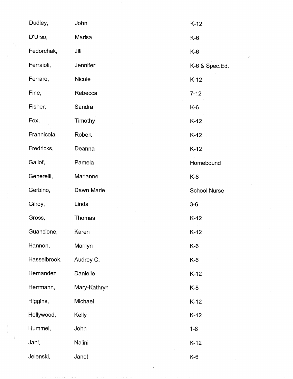|  | Dudley,      | John         | $K-12$              |
|--|--------------|--------------|---------------------|
|  | D'Urso,      | Marisa       | $K-6$               |
|  | Fedorchak,   | Jill         | $K-6$               |
|  | Ferraioli,   | Jennifer     | K-6 & Spec.Ed.      |
|  | Ferraro,     | Nicole       | $K-12$              |
|  | Fine,        | Rebecca      | $7 - 12$            |
|  | Fisher,      | Sandra       | K-6                 |
|  | Fox,         | Timothy      | $K-12$              |
|  | Frannicola,  | Robert       | $K-12$              |
|  | Fredricks,   | Deanna       | $K-12$              |
|  | Gallof,      | Pamela       | Homebound           |
|  | Generelli,   | Marianne     | $K-8$               |
|  | Gerbino,     | Dawn Marie   | <b>School Nurse</b> |
|  | Gilroy,      | Linda        | $3-6$               |
|  | Gross,       | Thomas       | $K-12$              |
|  | Guancione,   | Karen        | $K-12$              |
|  | Hannon,      | Marilyn      | $K-6$               |
|  | Hasselbrook, | Audrey C.    | $K-6$               |
|  | Hernandez,   | Danielle     | $K-12$              |
|  | Herrmann,    | Mary-Kathryn | $K-8$               |
|  | Higgins,     | Michael      | $K-12$              |
|  | Hollywood,   | Kelly        | $K-12$              |
|  | Hummel,      | John         | $1 - 8$             |
|  | Jani,        | Nalini       | $K-12$              |
|  | Jelenski,    | Janet        | $K-6$               |

 $\mathcal{L}^{\text{max}}_{\text{max}}$ 

 $\tilde{\mathcal{L}}$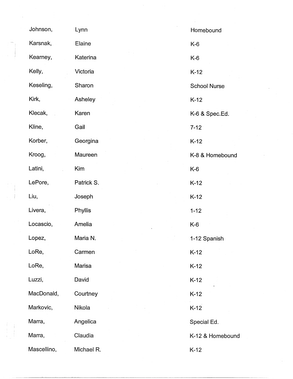| Johnson,    | Lynn       | Homebound           |
|-------------|------------|---------------------|
| Karsnak,    | Elaine     | K-6                 |
| Kearney,    | Katerina   | $K-6$               |
| Kelly,      | Victoria   | $K-12$              |
| Keseling,   | Sharon     | <b>School Nurse</b> |
| Kirk,       | Asheley    | $K-12$              |
| Klecak,     | Karen      | K-6 & Spec.Ed.      |
| Kline,      | Gail       | $7 - 12$            |
| Korber,     | Georgina   | $K-12$              |
| Kroog,      | Maureen    | K-8 & Homebound     |
| Latini,     | Kim        | K-6                 |
| LePore,     | Patrick S. | $K-12$              |
| Liu,        | Joseph     | $K-12$              |
| Livera,     | Phyllis    | $1 - 12$            |
| Locascio,   | Amelia     | K-6                 |
| Lopez,      | Maria N.   | 1-12 Spanish        |
| LoRe,       | Carmen     | $K-12$              |
| LoRe,       | Marisa     | $K-12$              |
| Luzzi,      | David      | $K-12$              |
| MacDonald,  | Courtney   | $K-12$              |
| Markovic,   | Nikola     | $K-12$              |
| Marra,      | Angelica   | Special Ed.         |
| Marra,      | Claudia    | K-12 & Homebound    |
| Mascellino, | Michael R. | $K-12$              |

 $\frac{1}{2}$ 

 $\mathcal{A}^{\text{max}}_{\text{max}}$ 

 $\hat{\mathcal{A}}$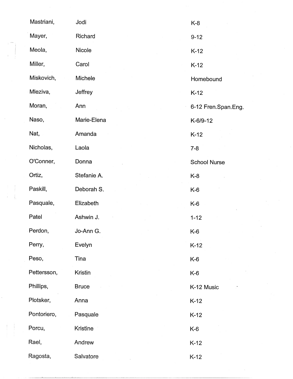| Mastriani,  | Jodi         | $K-8$               |
|-------------|--------------|---------------------|
| Mayer,      | Richard      | $9 - 12$            |
| Meola,      | Nicole       | $K-12$              |
| Miller,     | Carol        | $K-12$              |
| Miskovich,  | Michele      | Homebound           |
| Mleziva,    | Jeffrey      | $K-12$              |
| Moran,      | Ann          | 6-12 Fren.Span.Eng. |
| Naso,       | Marie-Elena  | K-6/9-12            |
| Nat,        | Amanda       | $K-12$              |
| Nicholas,   | Laola        | $7 - 8$             |
| O'Conner,   | Donna        | <b>School Nurse</b> |
| Ortiz,      | Stefanie A.  | K-8                 |
| Paskill,    | Deborah S.   | K-6                 |
| Pasquale,   | Elizabeth    | K-6                 |
| Patel       | Ashwin J.    | $1 - 12$            |
| Perdon,     | Jo-Ann G.    | K-6                 |
| Perry,      | Evelyn       | $K-12$              |
| Peso,       | Tina         | $K-6$               |
| Pettersson, | Kristin      | $K-6$               |
| Phillips,   | <b>Bruce</b> | K-12 Music          |
| Plotsker,   | Anna         | $K-12$              |
| Pontoriero, | Pasquale     | $K-12$              |
| Porcu,      | Kristine     | $K-6$               |
| Rael,       | Andrew       | $K-12$              |
| Ragosta,    | Salvatore    | $K-12$              |

 $\label{eq:2} \frac{1}{2} \int_{\mathbb{R}^3} \frac{1}{\sqrt{2}} \, \mathrm{d} \xi \, \mathrm{d} \xi$ 

 $\begin{array}{c} 1 \\ 1 \\ 1 \\ 1 \end{array}$ 

 $\frac{1}{2}$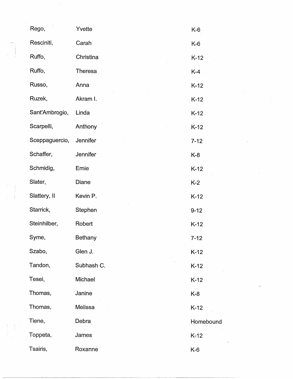| Rego,          | Yvette     | $K-6$     |
|----------------|------------|-----------|
| Resciniti,     | Carah      | K-6       |
| Ruffo,         | Christina  | $K-12$    |
| Ruffo,         | Theresa    | $K-4$     |
| Russo,         | Anna       | $K-12$    |
| Ruzek,         | Akram I.   | $K-12$    |
| Sant'Ambrogio, | Linda      | $K-12$    |
| Scarpelli,     | Anthony    | $K-12$    |
| Sceppaguercio, | Jennifer   | $7 - 12$  |
| Schaffer,      | Jennifer   | $K-8$     |
| Schmidig,      | Ernie      | $K-12$    |
| Slater,        | Diane      | $K-2$     |
| Slattery, II   | Kevin P.   | $K-12$    |
| Starrick,      | Stephen    | $9 - 12$  |
| Steinhilber,   | Robert     | $K-12$    |
| Syme,          | Bethany    | $7 - 12$  |
| Szabo,         | Glen J.    | $K-12$    |
| Tandon,        | Subhash C. | $K-12$    |
| Tesei,         | Michael    | $K-12$    |
| Thomas,        | Janine     | $K-8$     |
| Thomas,        | Melissa    | $K-12$    |
| Tiene,         | Debra      | Homebound |
| Toppeta,       | James      | $K-12$    |
| Tsairis,       | Roxanne    | $K-6$     |